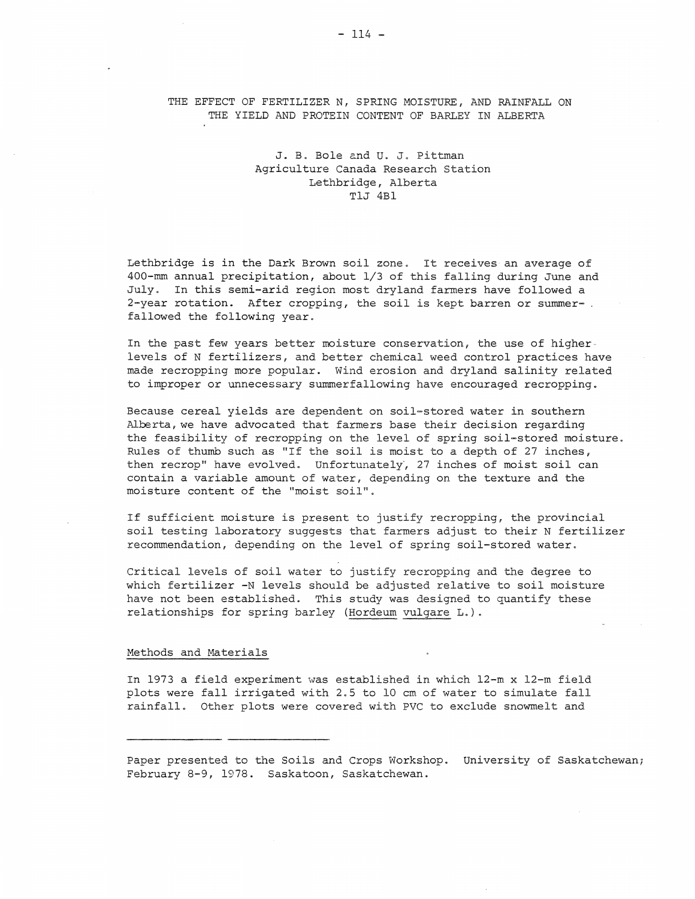THE EFFECT OF FERTILIZER N, SPRING MOISTURE, AND RAINFALL ON THE YIELD AND PROTEIN CONTENT OF BARLEY IN ALBERTA

# J. B. Bole and U. J. Pittman Agriculture Canada Research Station Lethbridge, Alberta TlJ 4Bl

Lethbridge is in the Dark Brown soil zone. It receives an average of 400-mm annual precipitation, about 1/3 of this falling during June and July. In this semi-arid region most dryland farmers have followed a 2-year rotation. After cropping, the soil is kept barren or summer- . fallowed the following year.

In the past few years better moisture conservation, the use of higherlevels of N fertilizers, and better chemical weed control practices have made recropping more popular. Wind erosion and dryland salinity related to improper or unnecessary summerfallowing have encouraged recropping.

Because cereal yields are dependent on soil-stored water in southern Alberta, we have advocated that farmers base their decision regarding the feasibility of recropping on the level of spring soil-stored moisture. Rules of thumb such as "If the soil is moist to a depth of 27 inches, then recrop" have evolved. Unfortunately, 27 inches of moist soil can contain a variable amount of water, depending on the texture and the moisture content of the "moist soil".

If sufficient moisture is present to justify recropping, the provincial soil testing laboratory suggests that farmers adjust to their N fertilizer recommendation, depending on the level of spring soil-stored water.

Critical levels of soil water to justify recropping and the degree to which fertilizer -N levels should be adjusted relative to soil moisture have not been established. This study was designed to quantify these relationships for spring barley (Hordeum vulgare L.).

## Methods and Materials

In 1973 a field experiment \vas established in which 12-m x 12-m field plots were fall irrigated with 2.5 to 10 em of water to simulate fall rainfall. Other plots were covered with PVC to exclude snowmelt and

Paper presented to the Soils and Crops Workshop. University of Saskatchewan; February 8-9, 1978. Saskatoon, Saskatchewan.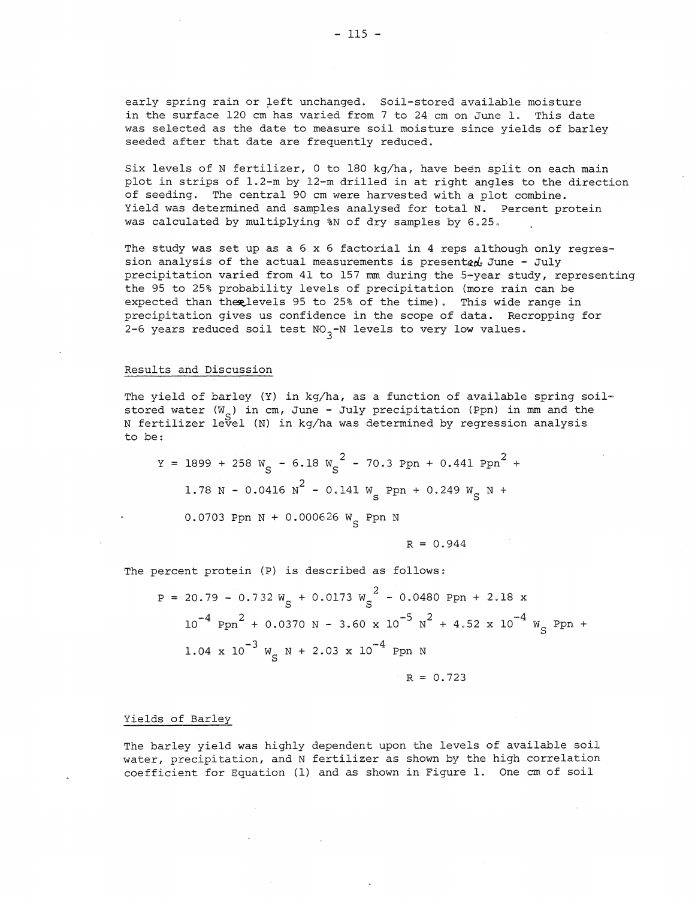early spring rain or left unchanged. Soil-stored available moisture in the surface 120 em has varied from 7 to 24 em on June 1. This date was selected as the date to measure soil moisture since yields of barley seeded after that date are frequently reduced.

Six levels of N fertilizer, 0 to 180 kg/ha, have been spiit on each main plot in strips of 1.2-m by 12-m drilled in at right angles to the direction of seeding. The central 90 em were harvested with a plot combine. Yield was determined and samples analysed for total N. Percent protein was calculated by multiplying %N of dry samples by 6.25.

The study was set up as a 6 x 6 factorial in 4 reps although only regression analysis of the actual measurements is presented June - July precipitation varied from 41 to 157 mm during the 5-year study, representing the 95 to 25% probability levels of precipitation (more rain can be expected than the ulevels 95 to 25% of the time). This wide range in precipitation gives us confidence in the scope of data. Recropping for 2-6 years reduced soil test  $NO_{3}$ -N levels to very low values.

## Results and Discussion

The yield of barley (Y) in kg/ha, as a function of available spring soilstored water  $(W_{\alpha})$  in cm, June - July precipitation (Ppn) in mm and the N fertilizer level (N) in kg/ha was determined by regression analysis to be:

$$
Y = 1899 + 258 W_S - 6.18 W_S^2 - 70.3 Ppn + 0.441 Ppn^2 + 1.78 N - 0.0416 N^2 - 0.141 W_S Ppn + 0.249 W_S N + 0.249 W_S N + 0.249 W_S N + 0.249 W_S N + 0.249 W_S N + 0.249 W_S N + 0.249 W_S N + 0.249 W_S N + 0.249 W_S N + 0.249 W_S N + 0.249 W_S N + 0.249 W_S N + 0.249 W_S N + 0.249 W_S N + 0.249 W_S N + 0.249 W_S N + 0.249 W_S N + 0.249 W_S N + 0.249 W_S N + 0.249 W_S N + 0.249 W_S N + 0.249 W_S N + 0.249 W_S N + 0.249 W_S N + 0.249 W_S N + 0.249 W_S N + 0.249 W_S N + 0.249 W_S N + 0.249 W_S N + 0.249 W_S N + 0.249 W_S N + 0.249 W_S N + 0.249 W_S N + 0.249 W_S N + 0.249 W_S N + 0.249 W_S N + 0.249 W_S N + 0.249 W_S N + 0.249 W_S N + 0.249 W_S N + 0.249 W_S N + 0.249 W_S N + 0.249 W_S N + 0.249 W_S N + 0.249 W_S N + 0.249 W_S N + 0.249 W_S N + 0.249 W_S N + 0.249 W_S N + 0.249 W_S N + 0.249 W_S N + 0.249 W_S N + 0.249 W_S N + 0.249 W_S N + 0.249 W_S N + 0.249 W_S N + 0.249 W_S N + 0.249 W_S N + 0.249 W_S N + 0.249 W_S N + 0.249 W_S N + 0.249 W_S N + 0.249 W_S N + 0.249 W_S N + 0.249 W_S N + 0.249 W_S N + 0.249 W_S N + 0.249 W_S N + 0.249
$$

0.0703 Ppn N + 0.000626  $W_S$  Ppn N

$$
R = 0.944
$$

The percent protein (P) is described as follows:

 $P = 20.79 - 0.732 W_c + 0.0173 W_c^2 - 0.0480 Ppn + 2.18 x$  $10^{-4}$  Ppn<sup>2</sup> + 0.0370 N - 3.60 x  $10^{-5}$  N<sup>2</sup> + 4.52 x  $10^{-4}$  W<sub>S</sub> Ppn +  $1.04 \times 10^{-3}$  W<sub>c</sub> N + 2.03 x 10<sup>-4</sup> Ppn N

$$
R = 0.723
$$

# Yields of Barley

The barley yield was highly dependent upon the levels of available soil water, precipitation, and N fertilizer as shown by the high correlation coefficient for Equation (1) and as shown in Figure 1. One em of soil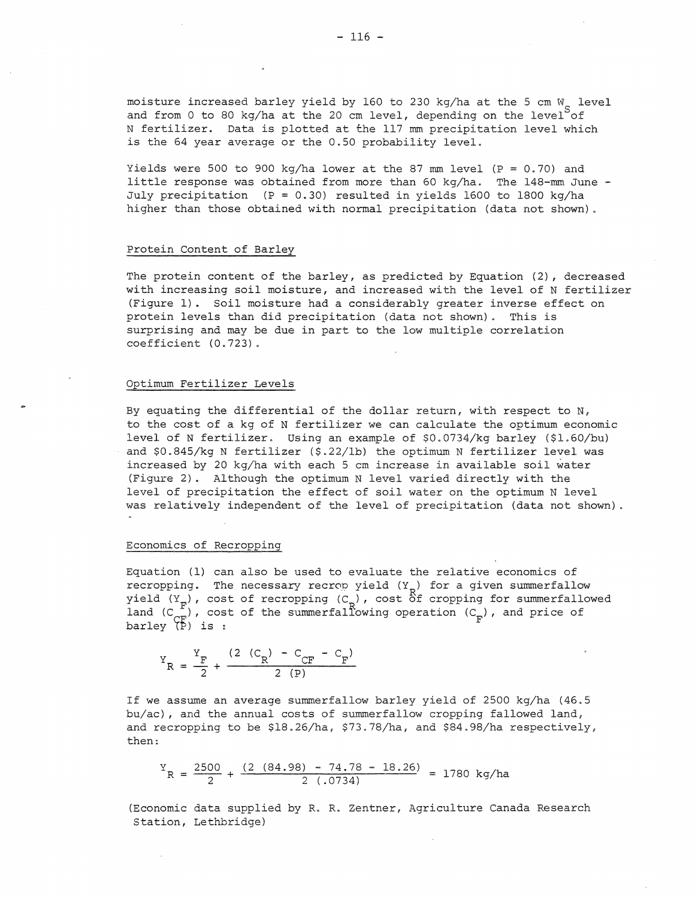moisture increased barley yield by 160 to 230 kg/ha at the 5 cm  $W_{\rm g}$  level and from 0 to 80 kg/ha at the 20 cm level, depending on the level of N fertilizer. Data is plotted at the 117 mm precipitation level which is the 64 year average or the 0.50 probability level.

Yields were 500 to 900 kg/ha lower at the 87 mm level ( $P = 0.70$ ) and little response was obtained from more than 60 kg/ha. The 148-mm June - July precipitation (P = 0.30) resulted in yields 1600 to 1800 kg/ha higher than those obtained with normal precipitation (data not shown).

# Protein Content of Barley

The protein content of the barley, as predicted by Equation (2), decreased with increasing soil moisture, and increased with the level of N fertilizer (Figure 1) . Soil moisture had a considerably greater inverse effect on protein levels than did precipitation (data not shown) • This is surprising and may be due in part to the low multiple correlation coefficient (0.723).

### Optimum Fertilizer Levels

By equating the differential of the dollar return, with respect to  $N$ , to the cost of a kg of N fertilizer we can calculate the optimum economic level of N fertilizer. Using an example of \$0.0734/kg barley (\$1.60/bu) and \$0.845/kg N fertilizer (\$.22/lb) the optimum N fertilizer level was increased by 20 kg/ha with each 5 em increase in available soil water (Figure 2). Although the optimum N level varied directly with the level of precipitation the effect of soil water on the optimum N level was relatively independent of the level of precipitation (data not shown).

#### Economics of Recropping

Equation (1) can also be used to evaluate the relative economics of recropping. The necessary recrop yield  $(Y_p)$  for a given summerfallow yield  $(Y_{\pi})$ , cost of recropping  $(C_{\pi})$ , cost of cropping for summerfallowed land  $(C_{\text{ce}}^{\text{r}})$ , cost of the summerfallowing operation  $(C_{\text{e}})$ , and price of barley  $\overline{P}$ ) is :

$$
Y_R = \frac{Y_F}{2} + \frac{(2 (C_R) - C_{CF} - C_F)}{2 (P)}
$$

If we assume an average summerfallow barley yield of 2500 kg/ha (46.5 bu/ac), and the annual costs of summerfallow cropping fallowed land, and recropping to be \$18.26/ha, \$73.78/ha, and \$84.98/ha respectively, then:

$$
Y_R = \frac{2500}{2} + \frac{(2 (84.98) - 74.78 - 18.26)}{2 (0.0734)} = 1780 \text{ kg/ha}
$$

(Economic data supplied by R. R. Zentner, Agriculture Canada Research Station, Lethbridge)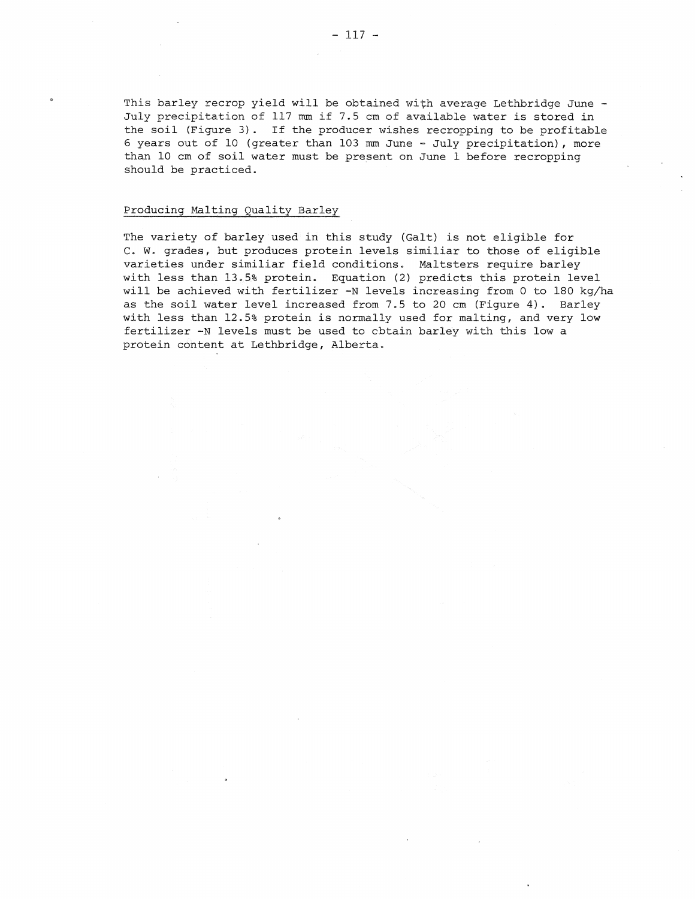This barley recrop yield will be obtained with average Lethbridge June - July precipitation of 117 mm if 7.5 em of available water is stored in the soil (Figure 3). If the producer wishes recropping to be profitable 6 years out of 10 (greater than 103 mm June - July precipitation), more than 10 em of soil water must be present on June 1 before recropping should be practiced.

# Producing Malting Quality Barley

The variety of barley used in this study (Galt) is not eligible for C. W. grades, but produces protein levels similiar to those of eligible varieties under similiar field conditions. Maltsters require barley with less than 13.5% protein. Equation (2) predicts this protein level will be achieved with fertilizer -N levels increasing from 0 to 180 kg/ha as the soil water level increased from 7.5 to 20 em (Figure 4). Barley with less than 12.5% protein is normally used for malting, and very low fertilizer -N levels must be used to cbtain barley with this low a protein content at Lethbridge, Alberta.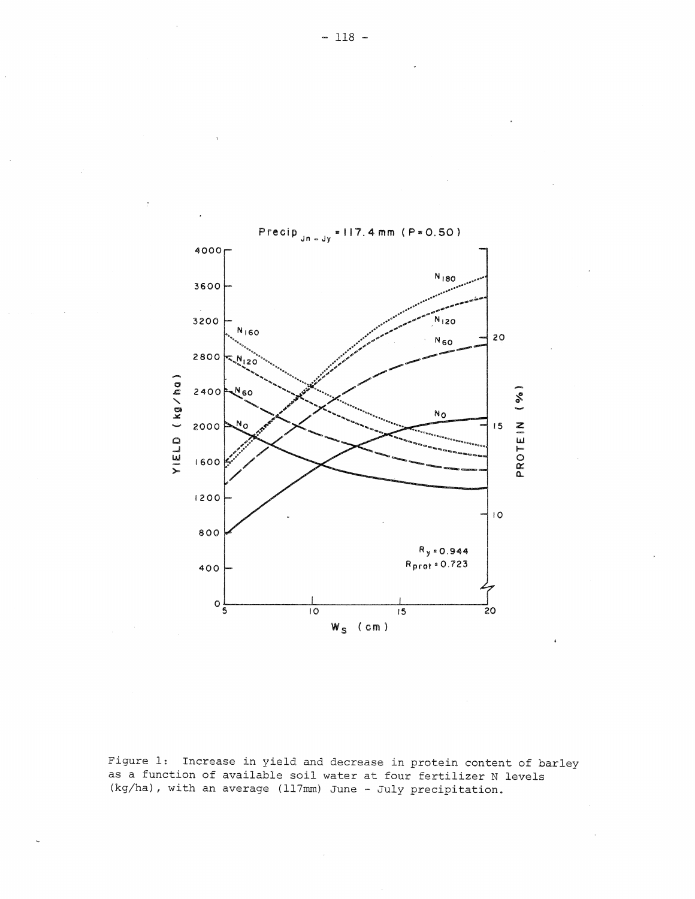

Figure 1: Increase in yield and decrease in protein content of barley as a function of available soil water at four fertilizer N levels (kg/ha), with an average (117mm) June - July precipitation.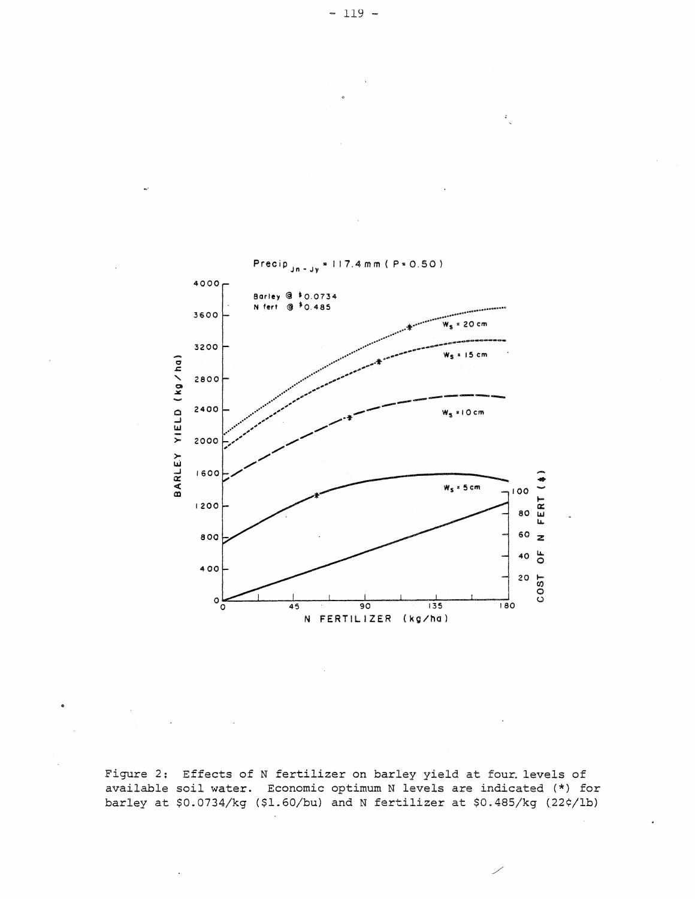

Figure 2: Effects of N fertilizer on barley yield at four. levels of available soil water. Economic optimum N levels are indicated (\*) for barley at \$0.0734/kg (\$1.60/bu) and N fertilizer at \$0.485/kg (22¢/lb)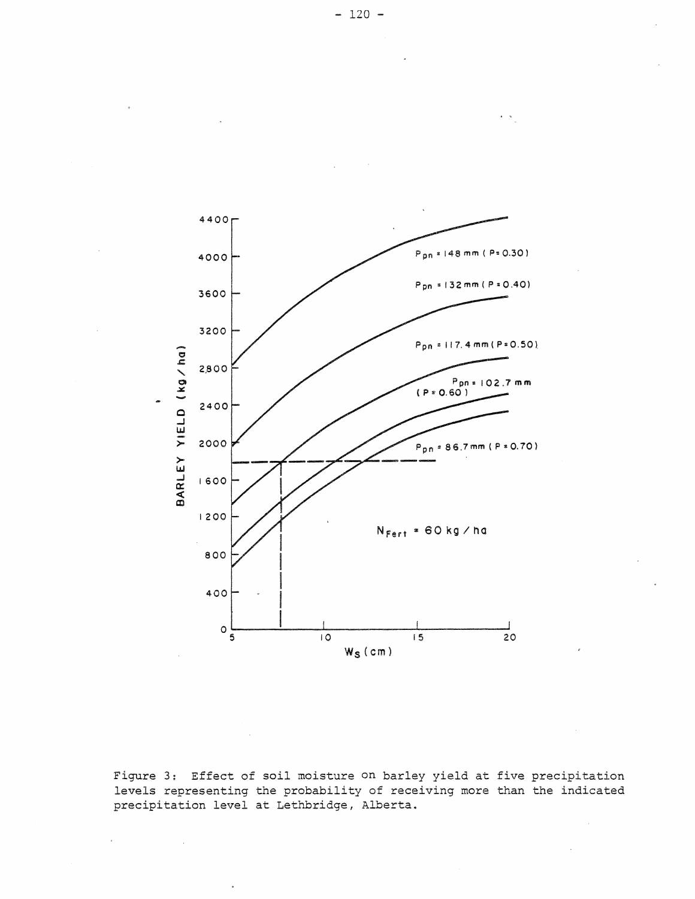

Figure 3: Effect of soil moisture on barley yield at five precipitation levels representing the probability of receiving more than the indicated precipitation level at Lethbridge, Alberta.